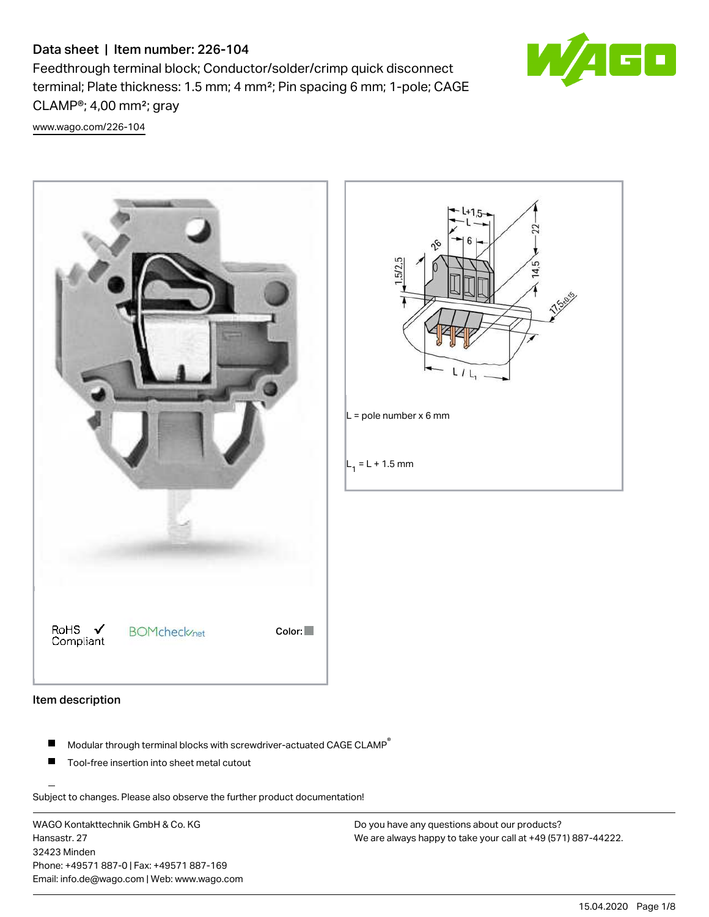# Data sheet | Item number: 226-104

Feedthrough terminal block; Conductor/solder/crimp quick disconnect terminal; Plate thickness: 1.5 mm; 4 mm²; Pin spacing 6 mm; 1-pole; CAGE CLAMP®; 4,00 mm²; gray



[www.wago.com/226-104](http://www.wago.com/226-104)





#### Item description

- $\blacksquare$ Modular through terminal blocks with screwdriver-actuated CAGE CLAMP<sup>®</sup>
- Tool-free insertion into sheet metal cutout

Subject to changes. Please also observe the further product documentation!

WAGO Kontakttechnik GmbH & Co. KG Hansastr. 27 32423 Minden Phone: +49571 887-0 | Fax: +49571 887-169 Email: info.de@wago.com | Web: www.wago.com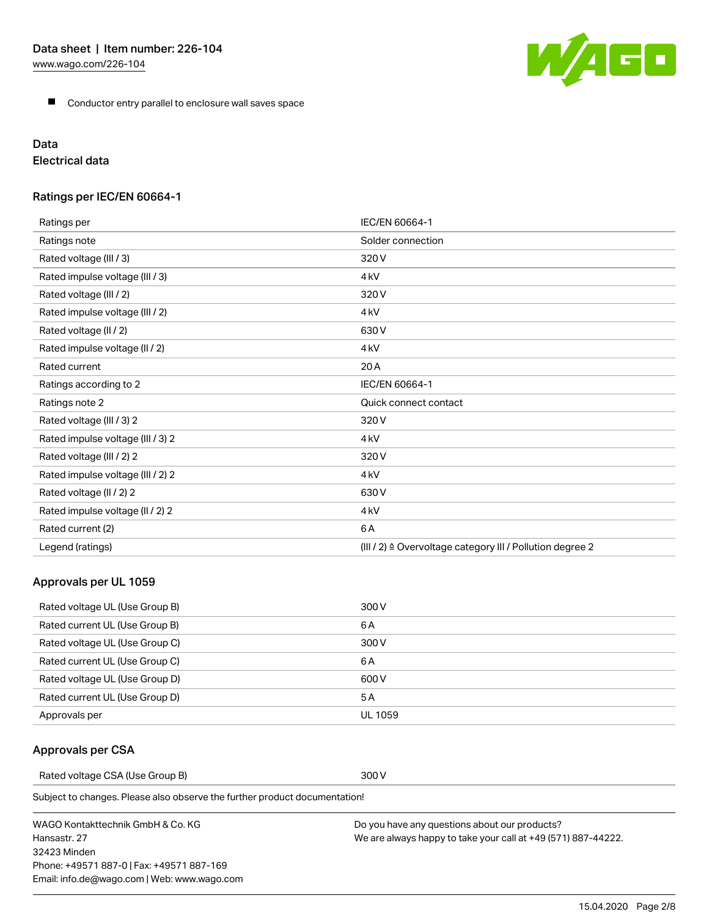**Conductor entry parallel to enclosure wall saves space** 

# Data

Electrical data

# Ratings per IEC/EN 60664-1

| Ratings per                       | IEC/EN 60664-1                                            |
|-----------------------------------|-----------------------------------------------------------|
| Ratings note                      | Solder connection                                         |
| Rated voltage (III / 3)           | 320V                                                      |
| Rated impulse voltage (III / 3)   | 4 <sub>kV</sub>                                           |
| Rated voltage (III / 2)           | 320V                                                      |
| Rated impulse voltage (III / 2)   | 4 <sub>kV</sub>                                           |
| Rated voltage (II / 2)            | 630V                                                      |
| Rated impulse voltage (II / 2)    | 4 <sub>kV</sub>                                           |
| Rated current                     | 20 A                                                      |
| Ratings according to 2            | IEC/EN 60664-1                                            |
| Ratings note 2                    | Quick connect contact                                     |
| Rated voltage (III / 3) 2         | 320V                                                      |
| Rated impulse voltage (III / 3) 2 | 4 <sub>kV</sub>                                           |
| Rated voltage (III / 2) 2         | 320V                                                      |
| Rated impulse voltage (III / 2) 2 | 4 <sub>kV</sub>                                           |
| Rated voltage (II / 2) 2          | 630V                                                      |
| Rated impulse voltage (II / 2) 2  | 4 <sub>kV</sub>                                           |
| Rated current (2)                 | 6A                                                        |
| Legend (ratings)                  | (III / 2) ≙ Overvoltage category III / Pollution degree 2 |

## Approvals per UL 1059

| Rated voltage UL (Use Group B) | 300 V   |
|--------------------------------|---------|
| Rated current UL (Use Group B) | 6 A     |
| Rated voltage UL (Use Group C) | 300 V   |
| Rated current UL (Use Group C) | 6 A     |
| Rated voltage UL (Use Group D) | 600 V   |
| Rated current UL (Use Group D) | 5 A     |
| Approvals per                  | UL 1059 |

## Approvals per CSA

Rated voltage CSA (Use Group B) 300 V

Subject to changes. Please also observe the further product documentation!

WAGO Kontakttechnik GmbH & Co. KG Hansastr. 27 32423 Minden Phone: +49571 887-0 | Fax: +49571 887-169 Email: info.de@wago.com | Web: www.wago.com



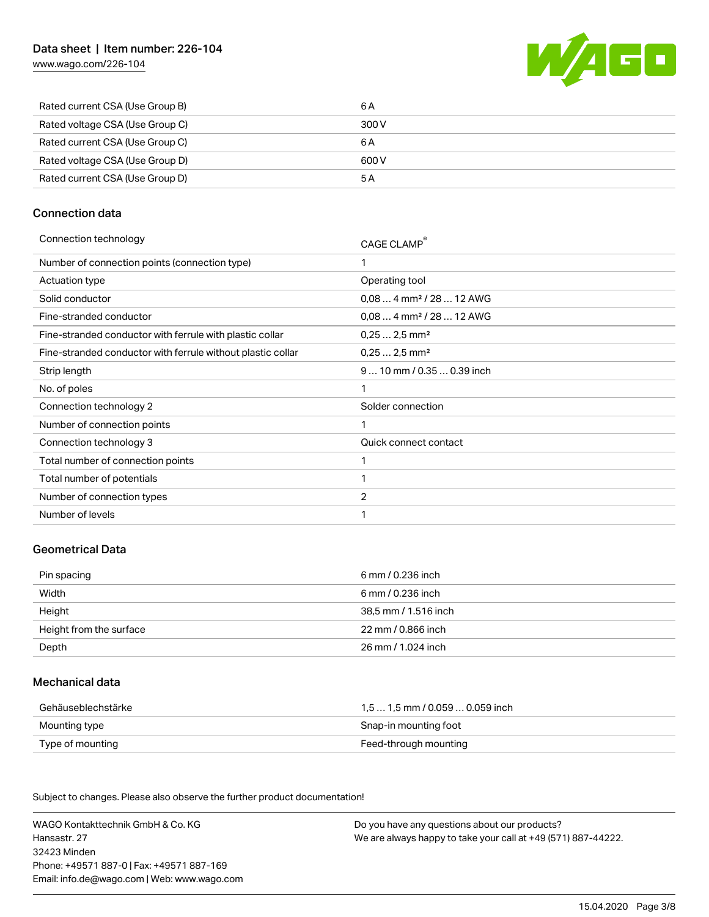[www.wago.com/226-104](http://www.wago.com/226-104)



| Rated current CSA (Use Group B)<br>6 A   |  |
|------------------------------------------|--|
| Rated voltage CSA (Use Group C)<br>300 V |  |
| Rated current CSA (Use Group C)<br>6 A   |  |
| Rated voltage CSA (Use Group D)<br>600 V |  |
| Rated current CSA (Use Group D)<br>5 A   |  |

#### Connection data

| Connection technology |  |
|-----------------------|--|
|                       |  |

| CAGE CLAMP®                          |
|--------------------------------------|
| 1                                    |
| Operating tool                       |
| $0.084$ mm <sup>2</sup> / 28  12 AWG |
| $0.084$ mm <sup>2</sup> / 28  12 AWG |
| $0,252,5$ mm <sup>2</sup>            |
| $0,252,5$ mm <sup>2</sup>            |
| 9  10 mm / 0.35  0.39 inch           |
| 1                                    |
| Solder connection                    |
| 1                                    |
| Quick connect contact                |
| 1                                    |
| 1                                    |
| $\overline{2}$                       |
| 1                                    |
|                                      |

#### Geometrical Data

| Pin spacing             | 6 mm / 0.236 inch    |
|-------------------------|----------------------|
| Width                   | 6 mm / 0.236 inch    |
| Height                  | 38,5 mm / 1.516 inch |
| Height from the surface | 22 mm / 0.866 inch   |
| Depth                   | 26 mm / 1.024 inch   |

## Mechanical data

| Gehäuseblechstärke | 1.5  1.5 mm / 0.059  0.059 inch |
|--------------------|---------------------------------|
| Mounting type      | Snap-in mounting foot           |
| Type of mounting   | Feed-through mounting           |

Subject to changes. Please also observe the further product documentation! Material Data

WAGO Kontakttechnik GmbH & Co. KG Hansastr. 27 32423 Minden Phone: +49571 887-0 | Fax: +49571 887-169 Email: info.de@wago.com | Web: www.wago.com Do you have any questions about our products? We are always happy to take your call at +49 (571) 887-44222.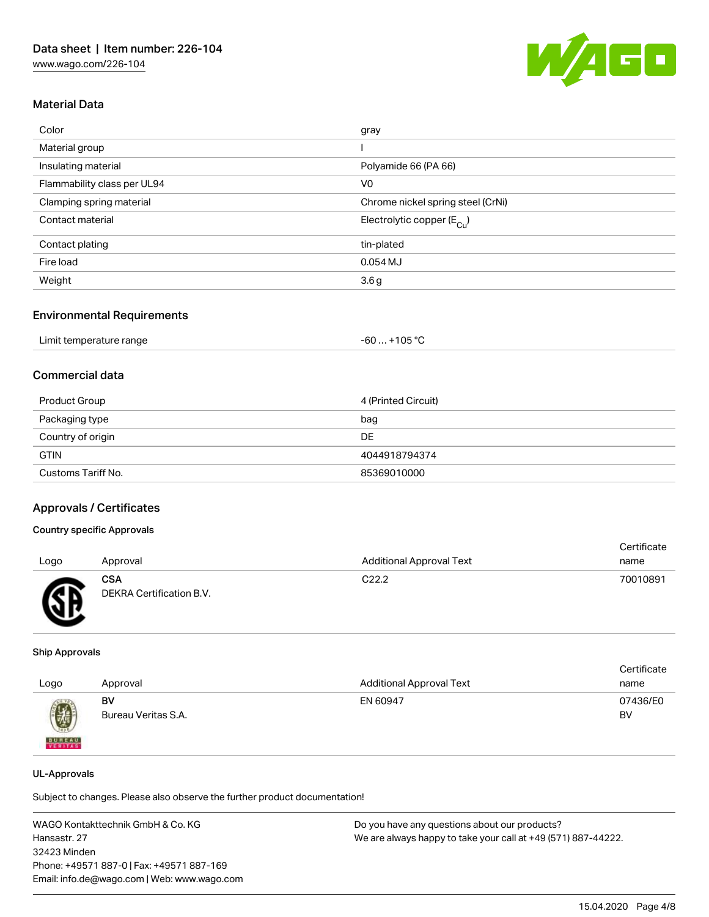

### Material Data

| Color                       | gray                                   |
|-----------------------------|----------------------------------------|
| Material group              |                                        |
| Insulating material         | Polyamide 66 (PA 66)                   |
| Flammability class per UL94 | V <sub>0</sub>                         |
| Clamping spring material    | Chrome nickel spring steel (CrNi)      |
| Contact material            | Electrolytic copper (E <sub>Cu</sub> ) |
| Contact plating             | tin-plated                             |
| Fire load                   | 0.054 MJ                               |
| Weight                      | 3.6 <sub>g</sub>                       |
|                             |                                        |

#### Environmental Requirements

| Limit temperature range | +105 °C<br>-60 |
|-------------------------|----------------|
|-------------------------|----------------|

#### Commercial data

| Product Group      | 4 (Printed Circuit) |
|--------------------|---------------------|
| Packaging type     | bag                 |
| Country of origin  | DE                  |
| <b>GTIN</b>        | 4044918794374       |
| Customs Tariff No. | 85369010000         |

#### Approvals / Certificates

#### Country specific Approvals

| Logo | Approval                               | <b>Additional Approval Text</b> | Certificate<br>name |
|------|----------------------------------------|---------------------------------|---------------------|
| Æ    | <b>CSA</b><br>DEKRA Certification B.V. | C <sub>22.2</sub>               | 70010891            |

#### Ship Approvals

| Logo                                                                                                                                                                                                                                                                                                                                                                                                                                                                                | Approval                  | <b>Additional Approval Text</b> | Certificate<br>name |
|-------------------------------------------------------------------------------------------------------------------------------------------------------------------------------------------------------------------------------------------------------------------------------------------------------------------------------------------------------------------------------------------------------------------------------------------------------------------------------------|---------------------------|---------------------------------|---------------------|
| $\bigcirc\!\!\!\!\! \bigcirc\!\!\!\!\! \bigcirc\!\!\!\!\! \bigcirc\!\!\!\!\! \bigcirc\!\!\!\!\! \bigcirc\!\!\!\!\! \bigcirc\!\!\!\!\! \bigcirc\!\!\!\!\! \bigcirc\!\!\!\!\! \bigcirc\!\!\!\!\! \bigcirc\!\!\!\!\! \bigcirc\!\!\!\!\! \bigcirc\!\!\!\!\! \bigcirc\!\!\!\!\! \bigcirc\!\!\!\!\! \bigcirc\!\!\!\!\! \bigcirc\!\!\!\!\! \bigcirc\!\!\!\!\! \bigcirc\!\!\!\!\! \bigcirc\!\!\!\!\! \bigcirc\!\!\!\!\! \bigcirc\!\!\!\!\! \bigcirc\!\!\!\!\! \bigcirc\!\!\!\!\! \bigcirc\$ | BV<br>Bureau Veritas S.A. | EN 60947                        | 07436/E0<br>BV      |
| <b>BUREAU</b>                                                                                                                                                                                                                                                                                                                                                                                                                                                                       |                           |                                 |                     |

#### UL-Approvals

Subject to changes. Please also observe the further product documentation!

WAGO Kontakttechnik GmbH & Co. KG Hansastr. 27 32423 Minden Phone: +49571 887-0 | Fax: +49571 887-169 Email: info.de@wago.com | Web: www.wago.com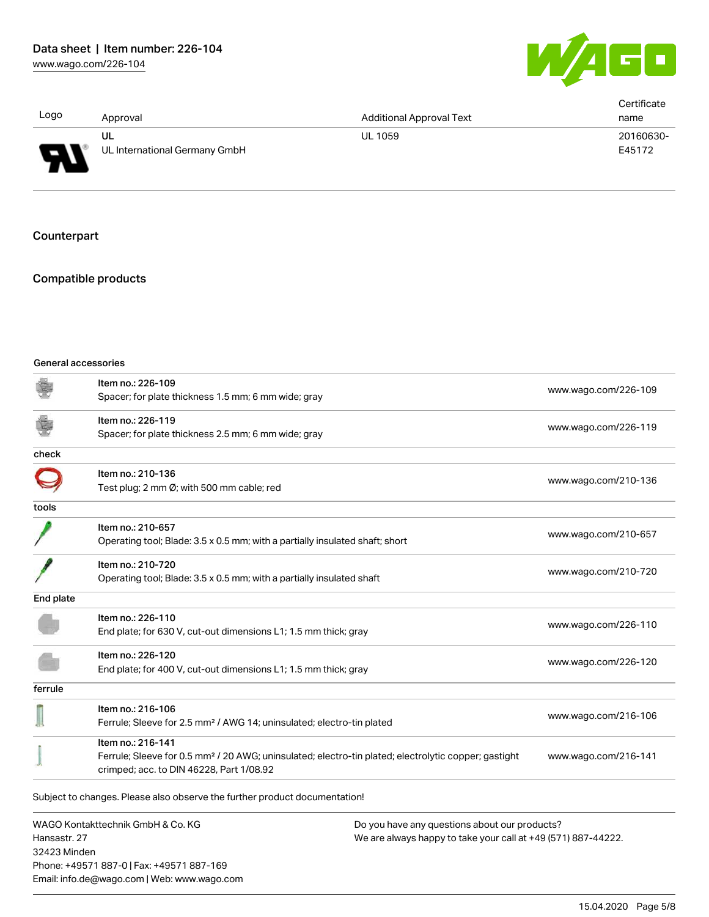

| Logo                     | Approval                      | <b>Additional Approval Text</b> | Certificate<br>name |
|--------------------------|-------------------------------|---------------------------------|---------------------|
| Я                        | UL                            | <b>UL 1059</b>                  | 20160630-           |
| $\overline{\phantom{0}}$ | UL International Germany GmbH |                                 | E45172              |

Counterpart

# Compatible products

#### General accessories

Email: info.de@wago.com | Web: www.wago.com

| Item no.: 226-109<br>Spacer; for plate thickness 1.5 mm; 6 mm wide; gray                                       | www.wago.com/226-109                                                                                                                                                                                                                                                                  |
|----------------------------------------------------------------------------------------------------------------|---------------------------------------------------------------------------------------------------------------------------------------------------------------------------------------------------------------------------------------------------------------------------------------|
| Item no.: 226-119<br>Spacer; for plate thickness 2.5 mm; 6 mm wide; gray                                       | www.wago.com/226-119                                                                                                                                                                                                                                                                  |
|                                                                                                                |                                                                                                                                                                                                                                                                                       |
| Item no.: 210-136<br>Test plug; 2 mm Ø; with 500 mm cable; red                                                 | www.wago.com/210-136                                                                                                                                                                                                                                                                  |
|                                                                                                                |                                                                                                                                                                                                                                                                                       |
| Item no.: 210-657                                                                                              | www.wago.com/210-657                                                                                                                                                                                                                                                                  |
| Item no.: 210-720<br>Operating tool; Blade: 3.5 x 0.5 mm; with a partially insulated shaft                     | www.wago.com/210-720                                                                                                                                                                                                                                                                  |
|                                                                                                                |                                                                                                                                                                                                                                                                                       |
| Item no.: 226-110<br>End plate; for 630 V, cut-out dimensions L1; 1.5 mm thick; gray                           | www.wago.com/226-110                                                                                                                                                                                                                                                                  |
| Item no.: 226-120<br>End plate; for 400 V, cut-out dimensions L1; 1.5 mm thick; gray                           | www.wago.com/226-120                                                                                                                                                                                                                                                                  |
|                                                                                                                |                                                                                                                                                                                                                                                                                       |
| Item no.: 216-106                                                                                              | www.wago.com/216-106                                                                                                                                                                                                                                                                  |
| Item no.: 216-141<br>crimped; acc. to DIN 46228, Part 1/08.92                                                  | www.wago.com/216-141                                                                                                                                                                                                                                                                  |
| Subject to changes. Please also observe the further product documentation!                                     |                                                                                                                                                                                                                                                                                       |
| WAGO Kontakttechnik GmbH & Co. KG<br>Hansastr. 27<br>32423 Minden<br>Phone: +49571 887-0   Fax: +49571 887-169 | Do you have any questions about our products?<br>We are always happy to take your call at +49 (571) 887-44222.                                                                                                                                                                        |
|                                                                                                                | Operating tool; Blade: 3.5 x 0.5 mm; with a partially insulated shaft; short<br>Ferrule; Sleeve for 2.5 mm <sup>2</sup> / AWG 14; uninsulated; electro-tin plated<br>Ferrule; Sleeve for 0.5 mm <sup>2</sup> / 20 AWG; uninsulated; electro-tin plated; electrolytic copper; gastight |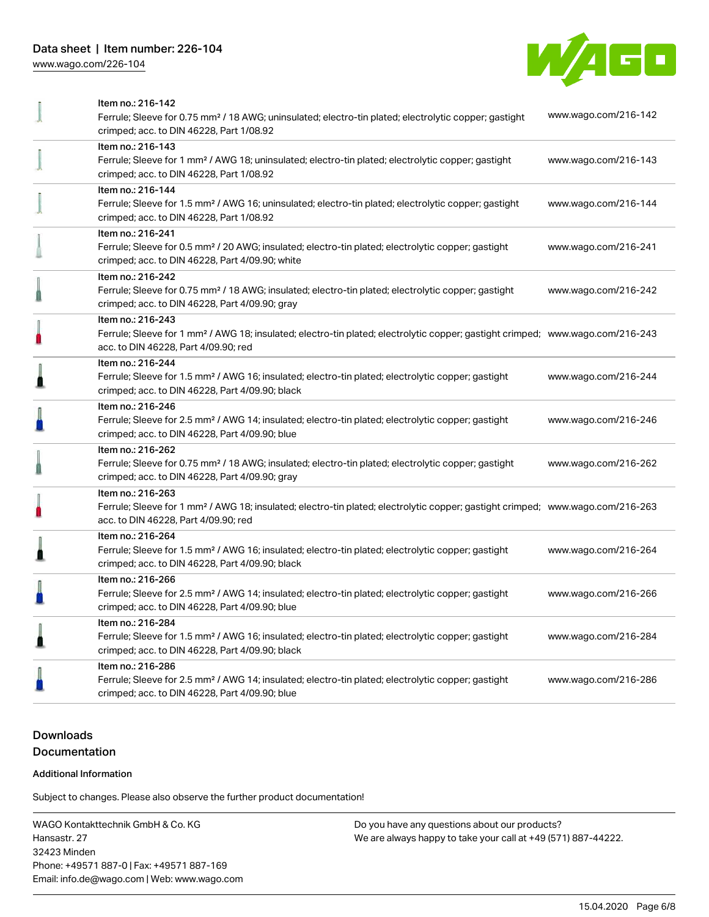# Data sheet | Item number: 226-104

[www.wago.com/226-104](http://www.wago.com/226-104)



|   | Item no.: 216-142<br>Ferrule; Sleeve for 0.75 mm <sup>2</sup> / 18 AWG; uninsulated; electro-tin plated; electrolytic copper; gastight<br>crimped; acc. to DIN 46228, Part 1/08.92                      | www.wago.com/216-142 |
|---|---------------------------------------------------------------------------------------------------------------------------------------------------------------------------------------------------------|----------------------|
|   | Item no.: 216-143<br>Ferrule; Sleeve for 1 mm <sup>2</sup> / AWG 18; uninsulated; electro-tin plated; electrolytic copper; gastight<br>crimped; acc. to DIN 46228, Part 1/08.92                         | www.wago.com/216-143 |
|   | Item no.: 216-144<br>Ferrule; Sleeve for 1.5 mm <sup>2</sup> / AWG 16; uninsulated; electro-tin plated; electrolytic copper; gastight<br>crimped; acc. to DIN 46228, Part 1/08.92                       | www.wago.com/216-144 |
|   | Item no.: 216-241<br>Ferrule; Sleeve for 0.5 mm <sup>2</sup> / 20 AWG; insulated; electro-tin plated; electrolytic copper; gastight<br>crimped; acc. to DIN 46228, Part 4/09.90; white                  | www.wago.com/216-241 |
|   | Item no.: 216-242<br>Ferrule; Sleeve for 0.75 mm <sup>2</sup> / 18 AWG; insulated; electro-tin plated; electrolytic copper; gastight<br>crimped; acc. to DIN 46228, Part 4/09.90; gray                  | www.wago.com/216-242 |
|   | Item no.: 216-243<br>Ferrule; Sleeve for 1 mm <sup>2</sup> / AWG 18; insulated; electro-tin plated; electrolytic copper; gastight crimped; www.wago.com/216-243<br>acc. to DIN 46228, Part 4/09.90; red |                      |
|   | Item no.: 216-244<br>Ferrule; Sleeve for 1.5 mm <sup>2</sup> / AWG 16; insulated; electro-tin plated; electrolytic copper; gastight<br>crimped; acc. to DIN 46228, Part 4/09.90; black                  | www.wago.com/216-244 |
|   | Item no.: 216-246<br>Ferrule; Sleeve for 2.5 mm <sup>2</sup> / AWG 14; insulated; electro-tin plated; electrolytic copper; gastight<br>crimped; acc. to DIN 46228, Part 4/09.90; blue                   | www.wago.com/216-246 |
|   | Item no.: 216-262<br>Ferrule; Sleeve for 0.75 mm <sup>2</sup> / 18 AWG; insulated; electro-tin plated; electrolytic copper; gastight<br>crimped; acc. to DIN 46228, Part 4/09.90; gray                  | www.wago.com/216-262 |
|   | Item no.: 216-263<br>Ferrule; Sleeve for 1 mm <sup>2</sup> / AWG 18; insulated; electro-tin plated; electrolytic copper; gastight crimped; www.wago.com/216-263<br>acc. to DIN 46228, Part 4/09.90; red |                      |
|   | Item no.: 216-264<br>Ferrule; Sleeve for 1.5 mm <sup>2</sup> / AWG 16; insulated; electro-tin plated; electrolytic copper; gastight<br>crimped; acc. to DIN 46228, Part 4/09.90; black                  | www.wago.com/216-264 |
|   | Item no.: 216-266<br>Ferrule; Sleeve for 2.5 mm <sup>2</sup> / AWG 14; insulated; electro-tin plated; electrolytic copper; gastight<br>crimped; acc. to DIN 46228, Part 4/09.90; blue                   | www.wago.com/216-266 |
| ≞ | Item no.: 216-284<br>Ferrule; Sleeve for 1.5 mm <sup>2</sup> / AWG 16; insulated; electro-tin plated; electrolytic copper; gastight<br>crimped; acc. to DIN 46228, Part 4/09.90; black                  | www.wago.com/216-284 |
|   | Item no.: 216-286<br>Ferrule; Sleeve for 2.5 mm <sup>2</sup> / AWG 14; insulated; electro-tin plated; electrolytic copper; gastight<br>crimped; acc. to DIN 46228, Part 4/09.90; blue                   | www.wago.com/216-286 |
|   |                                                                                                                                                                                                         |                      |

# Downloads Documentation

#### Additional Information

Subject to changes. Please also observe the further product documentation!

WAGO Kontakttechnik GmbH & Co. KG Hansastr. 27 32423 Minden Phone: +49571 887-0 | Fax: +49571 887-169 Email: info.de@wago.com | Web: www.wago.com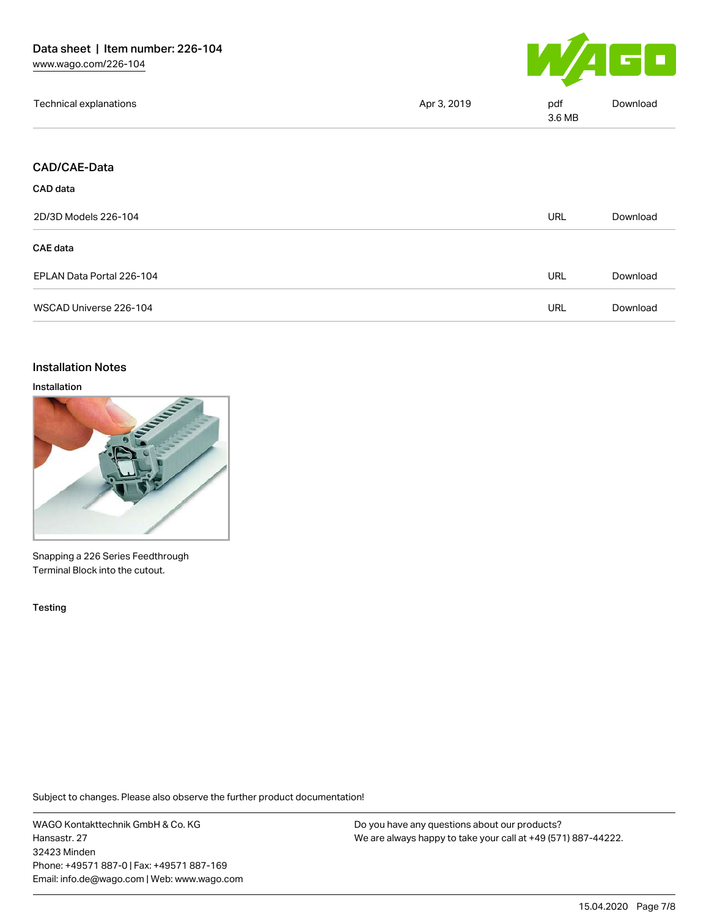

| Technical explanations    | Apr 3, 2019 | pdf<br>3.6 MB | Download |
|---------------------------|-------------|---------------|----------|
|                           |             |               |          |
| <b>CAD/CAE-Data</b>       |             |               |          |
| CAD data                  |             |               |          |
| 2D/3D Models 226-104      |             | <b>URL</b>    | Download |
| CAE data                  |             |               |          |
| EPLAN Data Portal 226-104 |             | <b>URL</b>    | Download |
| WSCAD Universe 226-104    |             | <b>URL</b>    | Download |
|                           |             |               |          |

#### Installation Notes

#### Installation



Snapping a 226 Series Feedthrough Terminal Block into the cutout.

Testing

Subject to changes. Please also observe the further product documentation!

WAGO Kontakttechnik GmbH & Co. KG Hansastr. 27 32423 Minden Phone: +49571 887-0 | Fax: +49571 887-169 Email: info.de@wago.com | Web: www.wago.com